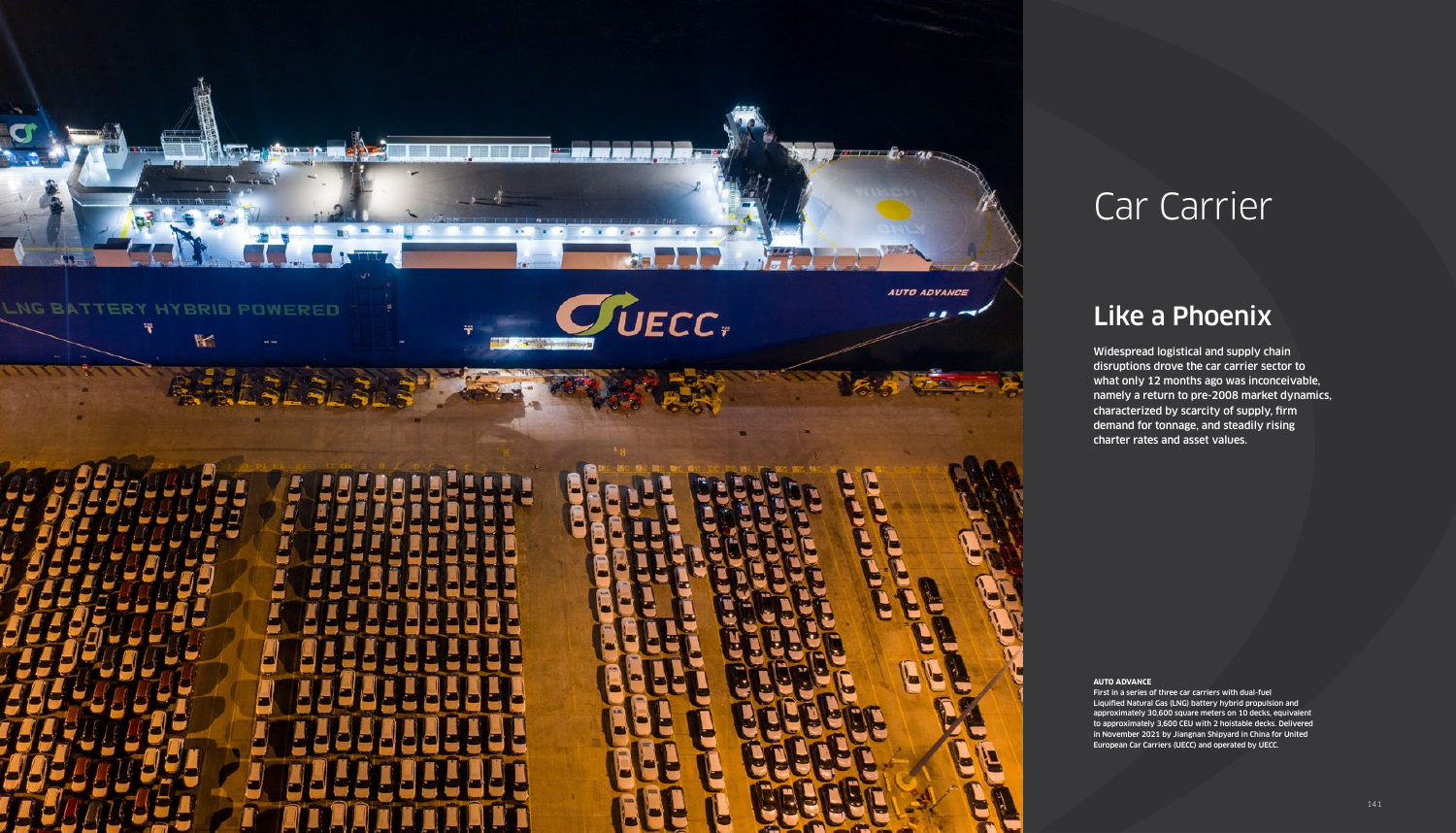

# Car Carrier

## Like a Phoenix

Widespread logistical and supply chain disruptions drove the car carrier sector to what only 12 months ago was inconceivable, namely a return to pre-2008 market dynamics, characterized by scarcity of supply, firm demand for tonnage, and steadily rising charter rates and asset values.

#### **AUTO ADVANCE**

First in a series of three car carriers with dual-fuel Liquified Natural Gas (LNG) battery hybrid propulsion and approximately 30,600 square meters on 10 decks, equivalent to approximately 3,600 CEU with 2 hoistable decks. Delivered in November 2021 by Jiangnan Shipyard in China for United European Car Carriers (UECC) and operated by UECC.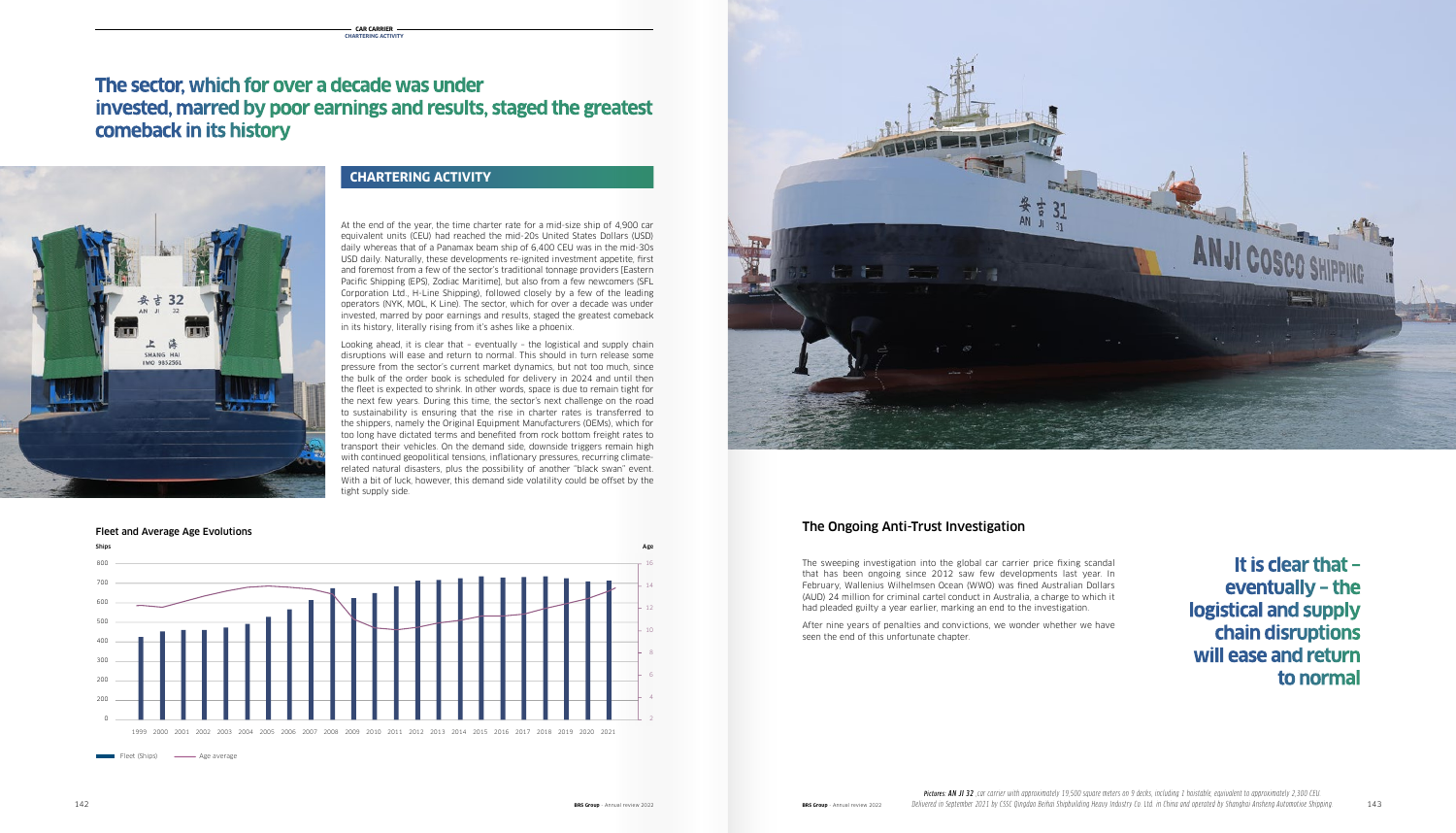#### The Ongoing Anti-Trust Investigation

The sweeping investigation into the global car carrier price fixing scandal that has been ongoing since 2012 saw few developments last year. In February, Wallenius Wilhelmsen Ocean (WWO) was fined Australian Dollars (AUD) 24 million for criminal cartel conduct in Australia, a charge to which it had pleaded guilty a year earlier, marking an end to the investigation.

At the end of the year, the time charter rate for a mid-size ship of 4,900 car equivalent units (CEU) had reached the mid-20s United States Dollars (USD) daily whereas that of a Panamax beam ship of 6,400 CEU was in the mid-30s 6,000,000 65 USD daily. Naturally, these developments re-ignited investment appetite, first and foremost from a few of the sector's traditional tonnage providers [Eastern material] Pacific Shipping (EPS), Zodiac Maritime], but also from a few newcomers (SFL Corporation Ltd., H-Line Shipping), followed closely by a few of the leading Corporation Ltd., H-Line Shipping), followed closely by a few of the leading operators (NYK, MOL, K Line). The sector, which for over a decade was under invested, marred by poor earnings and results, staged the greatest comeback in its history, literally rising from it's ashes like a phoenix.

no meters, merang namig namite as also me a phesim."<br>Looking ahead, it is clear that – eventually – the logistical and supply chain disruptions will ease and return to normal. This should in turn release some pressure from the sector's current market dynamics, but not too much, since the bulk of the order book is scheduled for delivery in 2024 and until then the fleet is expected to shrink. In other words, space is due to remain tight for the next few years. During this time, the sector's next challenge on the road to sustainability is ensuring that the rise in charter rates is transferred to the shippers, namely the Original Equipment Manufacturers (OEMs), which for<br>2009 have distated terms and benefited from rock bottom freight rates to too long have dictated terms and benefited from rock bottom freight rates to transport their vehicles. On the demand side, downside triggers remain high with continued geopolitical tensions, inflationary pressures, recurring climaterelated natural disasters, plus the possibility of another "black swan" event. With a bit of luck, however, this demand side volatility could be offset by the tight supply side. the shippers, namely the Original Equipmer<br>too long have dictated terms and benefited<br>transport their vehicles. On the demand si<br>with continued geopolitical tensions, inflatio

> After nine years of penalties and convictions, we wonder whether we have seen the end of this unfortunate chapter.

### **CHARTERING ACTIVITY**

## **The sector, which for over a decade was under invested, marred by poor earnings and results, staged the greatest comeback in its history**

**It is clear that – eventually – the logistical and supply chain disruptions will ease and return to normal**